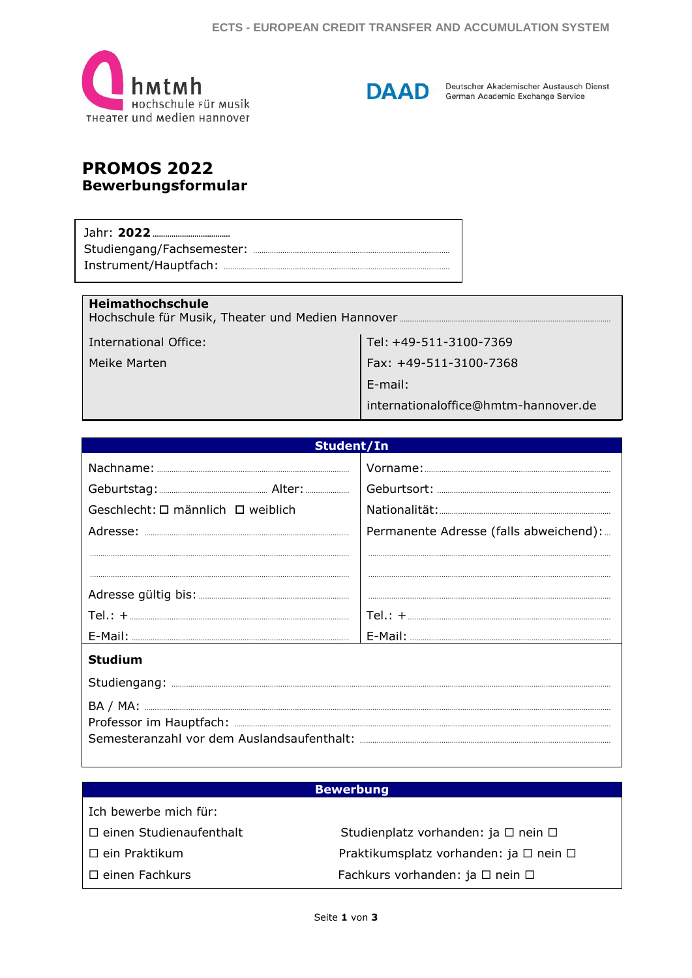



Deutscher Akademischer Austausch Dienst German Academic Exchange Service

# **PROMOS 2022 Bewerbungsformular**

## Heimathochschule

**International Office:** 

Meike Marten

Tel: +49-511-3100-7369 Fax: +49-511-3100-7368

E-mail:

internationaloffice@hmtm-hannover.de

| Student/In                        |                                        |  |  |  |
|-----------------------------------|----------------------------------------|--|--|--|
|                                   |                                        |  |  |  |
|                                   |                                        |  |  |  |
| Geschlecht: □ männlich □ weiblich |                                        |  |  |  |
|                                   | Permanente Adresse (falls abweichend): |  |  |  |
|                                   |                                        |  |  |  |
|                                   |                                        |  |  |  |
|                                   |                                        |  |  |  |
|                                   |                                        |  |  |  |
|                                   |                                        |  |  |  |
| <b>Studium</b>                    |                                        |  |  |  |
|                                   |                                        |  |  |  |
|                                   |                                        |  |  |  |
|                                   |                                        |  |  |  |
|                                   |                                        |  |  |  |
|                                   |                                        |  |  |  |

#### **Bewerbung**

| Ich bewerbe mich für:          |                                                  |
|--------------------------------|--------------------------------------------------|
| $\Box$ einen Studienaufenthalt | Studienplatz vorhanden: ja $\Box$ nein $\Box$    |
| $\Box$ ein Praktikum           | Praktikumsplatz vorhanden: ja $\Box$ nein $\Box$ |
| $\Box$ einen Fachkurs          | Fachkurs vorhanden: ja □ nein □                  |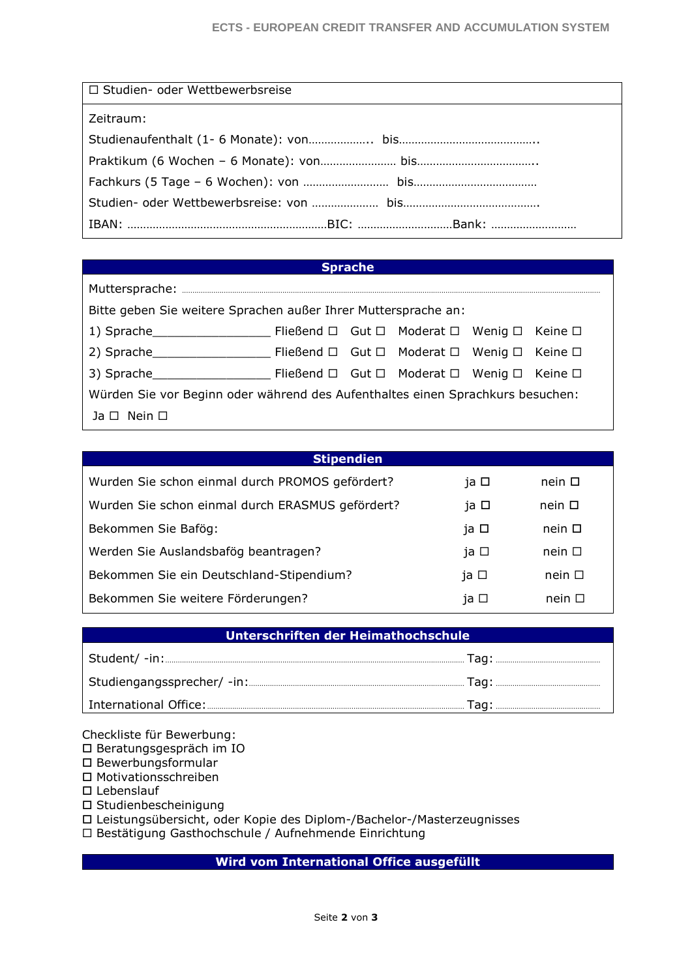| □ Studien- oder Wettbewerbsreise |
|----------------------------------|
| Zeitraum:                        |
|                                  |
|                                  |
|                                  |
|                                  |
|                                  |

# **Sprache**

| Bitte geben Sie weitere Sprachen außer Ihrer Muttersprache an:                 |  |  |  |  |  |
|--------------------------------------------------------------------------------|--|--|--|--|--|
|                                                                                |  |  |  |  |  |
|                                                                                |  |  |  |  |  |
|                                                                                |  |  |  |  |  |
| Würden Sie vor Beginn oder während des Aufenthaltes einen Sprachkurs besuchen: |  |  |  |  |  |
| Ja $\Box$ Nein $\Box$                                                          |  |  |  |  |  |

| <b>Stipendien</b>                                |      |                |
|--------------------------------------------------|------|----------------|
| Wurden Sie schon einmal durch PROMOS gefördert?  | ja □ | nein $\square$ |
| Wurden Sie schon einmal durch ERASMUS gefördert? | ja □ | $nein$ $\Box$  |
| Bekommen Sie Bafög:                              | ja □ | $nein$ $\Box$  |
| Werden Sie Auslandsbafög beantragen?             | ja □ | nein $\square$ |
| Bekommen Sie ein Deutschland-Stipendium?         | ja □ | nein $\Box$    |
| Bekommen Sie weitere Förderungen?                | ja □ | nein $\Box$    |

| Unterschriften der Heimathochschule |  |  |  |
|-------------------------------------|--|--|--|
|                                     |  |  |  |
|                                     |  |  |  |
|                                     |  |  |  |

Checkliste für Bewerbung:

Beratungsgespräch im IO

 $\square$  Bewerbungsformular Motivationsschreiben

□ Lebenslauf

Studienbescheinigung

Leistungsübersicht, oder Kopie des Diplom-/Bachelor-/Masterzeugnisses

Bestätigung Gasthochschule / Aufnehmende Einrichtung

**Wird vom International Office ausgefüllt**